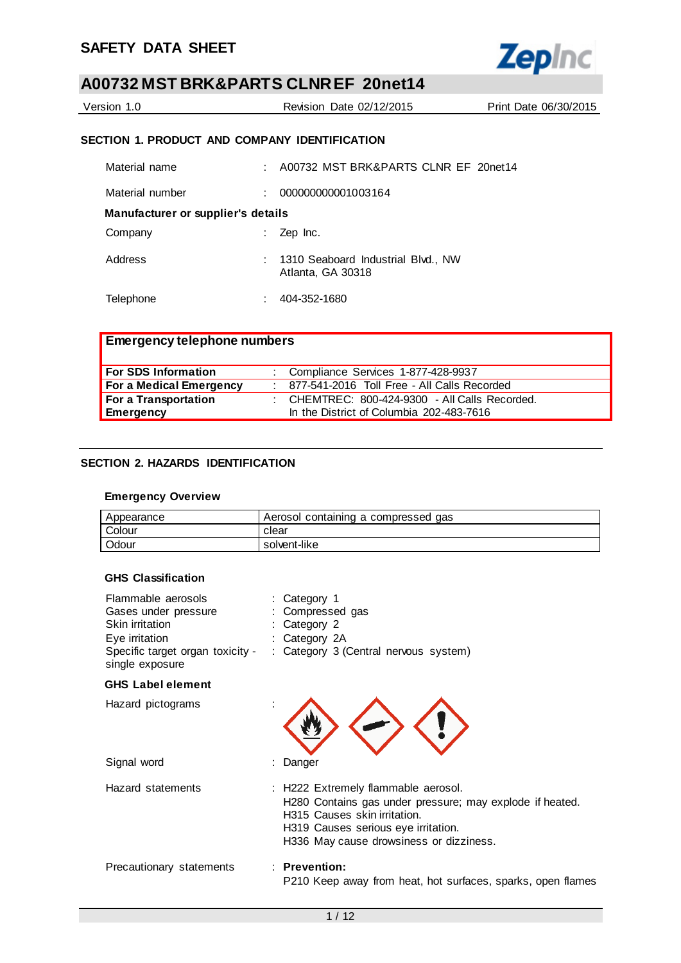

| Version 1.0 | Revision Date 02/12/2015 | Print Date 06/30/2015 |
|-------------|--------------------------|-----------------------|
|             |                          |                       |

### **SECTION 1. PRODUCT AND COMPANY IDENTIFICATION**

| Material name                      | A00732 MST BRK&PARTS CLNR EF 20net14                      |
|------------------------------------|-----------------------------------------------------------|
| Material number                    | 000000000001003164                                        |
| Manufacturer or supplier's details |                                                           |
| Company                            | Zep Inc.                                                  |
| Address                            | : 1310 Seaboard Industrial Blvd., NW<br>Atlanta, GA 30318 |
| Telephone                          | 404-352-1680                                              |

| <b>Emergency telephone numbers</b> |                                                  |
|------------------------------------|--------------------------------------------------|
| <b>For SDS Information</b>         | : Compliance Services 1-877-428-9937             |
| <b>For a Medical Emergency</b>     | : 877-541-2016 Toll Free - All Calls Recorded    |
| For a Transportation               | : CHEMTREC: $800-424-9300$ - All Calls Recorded. |
| Emergency                          | In the District of Columbia 202-483-7616         |

### **SECTION 2. HAZARDS IDENTIFICATION**

### **Emergency Overview**

| Appearance | Aerosol containing a compressed gas |
|------------|-------------------------------------|
| Colour     | clear                               |
| Odour      | solvent-like                        |

### **GHS Classification**

| Flammable aerosols<br>Gases under pressure<br>Skin irritation<br>Eye irritation<br>Specific target organ toxicity -<br>single exposure | Category 1<br>Compressed gas<br>Category 2<br>: Category 2A<br>: Category 3 (Central nervous system)                                                                                                              |
|----------------------------------------------------------------------------------------------------------------------------------------|-------------------------------------------------------------------------------------------------------------------------------------------------------------------------------------------------------------------|
| <b>GHS Label element</b>                                                                                                               |                                                                                                                                                                                                                   |
| Hazard pictograms                                                                                                                      |                                                                                                                                                                                                                   |
| Signal word                                                                                                                            | Danger                                                                                                                                                                                                            |
| Hazard statements                                                                                                                      | : H222 Extremely flammable aerosol.<br>H280 Contains gas under pressure; may explode if heated.<br>H315 Causes skin irritation.<br>H319 Causes serious eye irritation.<br>H336 May cause drowsiness or dizziness. |
| Precautionary statements                                                                                                               | $:$ Prevention:<br>P210 Keep away from heat, hot surfaces, sparks, open flames                                                                                                                                    |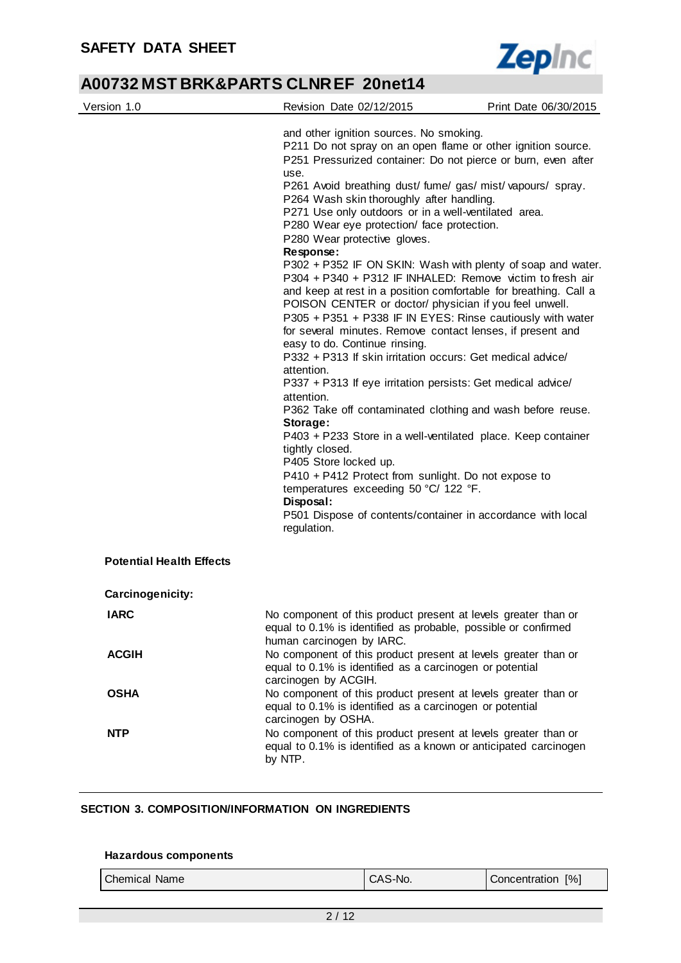

| Version 1.0                                         | Revision Date 02/12/2015                                                                                                                                                                                                                                                                                                                                                                                                                                                                                                                                                                                                 | Print Date 06/30/2015                                                                                                                                                                                                                                                                                                                                                                                                                                                                                                                                                                                                                                                                                                                                                           |  |
|-----------------------------------------------------|--------------------------------------------------------------------------------------------------------------------------------------------------------------------------------------------------------------------------------------------------------------------------------------------------------------------------------------------------------------------------------------------------------------------------------------------------------------------------------------------------------------------------------------------------------------------------------------------------------------------------|---------------------------------------------------------------------------------------------------------------------------------------------------------------------------------------------------------------------------------------------------------------------------------------------------------------------------------------------------------------------------------------------------------------------------------------------------------------------------------------------------------------------------------------------------------------------------------------------------------------------------------------------------------------------------------------------------------------------------------------------------------------------------------|--|
|                                                     | and other ignition sources. No smoking.<br>use.<br>P264 Wash skin thoroughly after handling.<br>P271 Use only outdoors or in a well-ventilated area.<br>P280 Wear eye protection/ face protection.<br>P280 Wear protective gloves.<br>Response:<br>POISON CENTER or doctor/ physician if you feel unwell.<br>easy to do. Continue rinsing.<br>P332 + P313 If skin irritation occurs: Get medical advice/<br>attention.<br>attention.<br>Storage:<br>tightly closed.<br>P405 Store locked up.<br>P410 + P412 Protect from sunlight. Do not expose to<br>temperatures exceeding 50 °C/ 122 °F.<br>Disposal:<br>regulation. | P211 Do not spray on an open flame or other ignition source.<br>P251 Pressurized container: Do not pierce or burn, even after<br>P261 Avoid breathing dust/fume/gas/mist/vapours/spray.<br>P302 + P352 IF ON SKIN: Wash with plenty of soap and water.<br>P304 + P340 + P312 IF INHALED: Remove victim to fresh air<br>and keep at rest in a position comfortable for breathing. Call a<br>P305 + P351 + P338 IF IN EYES: Rinse cautiously with water<br>for several minutes. Remove contact lenses, if present and<br>P337 + P313 If eye irritation persists: Get medical advice/<br>P362 Take off contaminated clothing and wash before reuse.<br>P403 + P233 Store in a well-ventilated place. Keep container<br>P501 Dispose of contents/container in accordance with local |  |
| <b>Potential Health Effects</b><br>Carcinogenicity: |                                                                                                                                                                                                                                                                                                                                                                                                                                                                                                                                                                                                                          |                                                                                                                                                                                                                                                                                                                                                                                                                                                                                                                                                                                                                                                                                                                                                                                 |  |
| <b>IARC</b>                                         | No component of this product present at levels greater than or<br>equal to 0.1% is identified as probable, possible or confirmed<br>human carcinogen by IARC.                                                                                                                                                                                                                                                                                                                                                                                                                                                            |                                                                                                                                                                                                                                                                                                                                                                                                                                                                                                                                                                                                                                                                                                                                                                                 |  |
| <b>ACGIH</b>                                        | No component of this product present at levels greater than or<br>equal to 0.1% is identified as a carcinogen or potential<br>carcinogen by ACGIH.                                                                                                                                                                                                                                                                                                                                                                                                                                                                       |                                                                                                                                                                                                                                                                                                                                                                                                                                                                                                                                                                                                                                                                                                                                                                                 |  |
| <b>OSHA</b>                                         | No component of this product present at levels greater than or<br>equal to 0.1% is identified as a carcinogen or potential<br>carcinogen by OSHA.                                                                                                                                                                                                                                                                                                                                                                                                                                                                        |                                                                                                                                                                                                                                                                                                                                                                                                                                                                                                                                                                                                                                                                                                                                                                                 |  |
| <b>NTP</b>                                          | No component of this product present at levels greater than or<br>equal to 0.1% is identified as a known or anticipated carcinogen<br>by NTP.                                                                                                                                                                                                                                                                                                                                                                                                                                                                            |                                                                                                                                                                                                                                                                                                                                                                                                                                                                                                                                                                                                                                                                                                                                                                                 |  |

### **SECTION 3. COMPOSITION/INFORMATION ON INGREDIENTS**

### **Hazardous components**

| <b>Chemical Name</b> | CAS-No. | Concentration [%] |
|----------------------|---------|-------------------|
|----------------------|---------|-------------------|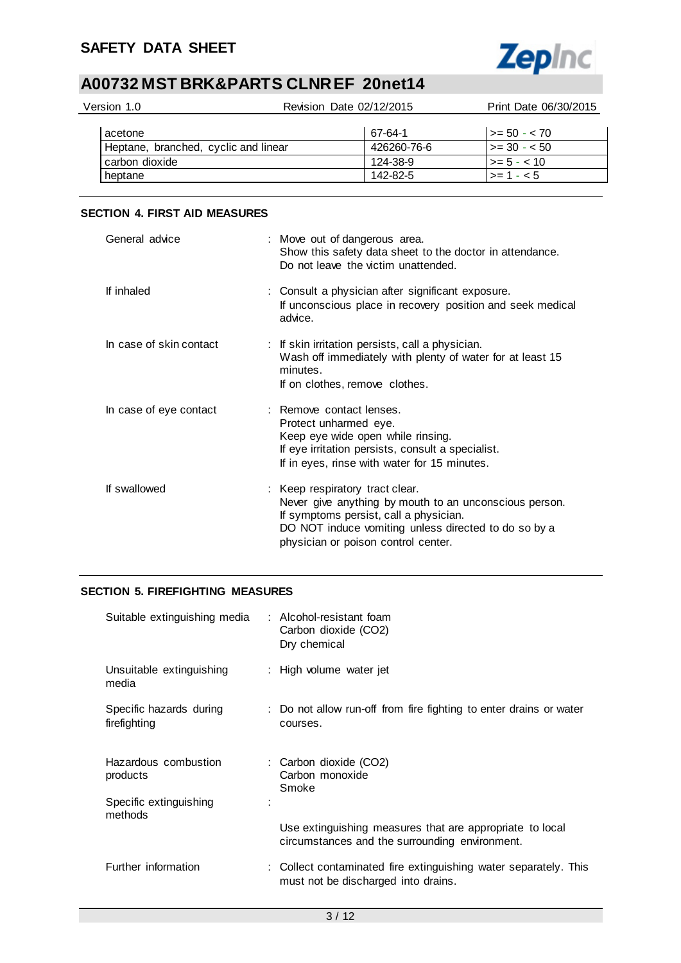

| Version 1.0                          | Revision Date 02/12/2015 | Print Date 06/30/2015 |
|--------------------------------------|--------------------------|-----------------------|
| acetone                              | 67-64-1                  | $1 > = 50 - < 70$     |
| Heptane, branched, cyclic and linear | 426260-76-6              | $1 > = 30 - 50$       |
| carbon dioxide                       | 124-38-9                 | $>= 5 - < 10$         |
| heptane                              | 142-82-5                 | $>= 1 - 5$            |

### **SECTION 4. FIRST AID MEASURES**

| General advice          | : Move out of dangerous area.<br>Show this safety data sheet to the doctor in attendance.<br>Do not leave the victim unattended.                                                                                                   |
|-------------------------|------------------------------------------------------------------------------------------------------------------------------------------------------------------------------------------------------------------------------------|
| If inhaled              | : Consult a physician after significant exposure.<br>If unconscious place in recovery position and seek medical<br>advice.                                                                                                         |
| In case of skin contact | : If skin irritation persists, call a physician.<br>Wash off immediately with plenty of water for at least 15<br>minutes.<br>If on clothes, remove clothes.                                                                        |
| In case of eye contact  | : Remove contact lenses.<br>Protect unharmed eye.<br>Keep eye wide open while rinsing.<br>If eye irritation persists, consult a specialist.<br>If in eyes, rinse with water for 15 minutes.                                        |
| If swallowed            | : Keep respiratory tract clear.<br>Never give anything by mouth to an unconscious person.<br>If symptoms persist, call a physician.<br>DO NOT induce vomiting unless directed to do so by a<br>physician or poison control center. |

### **SECTION 5. FIREFIGHTING MEASURES**

| Suitable extinguishing media            | : Alcohol-resistant foam<br>Carbon dioxide (CO2)<br>Dry chemical                                           |
|-----------------------------------------|------------------------------------------------------------------------------------------------------------|
| Unsuitable extinguishing<br>media       | : High volume water jet                                                                                    |
| Specific hazards during<br>firefighting | : Do not allow run-off from fire fighting to enter drains or water<br>courses.                             |
| Hazardous combustion<br>products        | : Carbon dioxide (CO2)<br>Carbon monoxide<br>Smoke                                                         |
| Specific extinguishing<br>methods       |                                                                                                            |
|                                         | Use extinguishing measures that are appropriate to local<br>circumstances and the surrounding environment. |
| Further information                     | : Collect contaminated fire extinguishing water separately. This<br>must not be discharged into drains.    |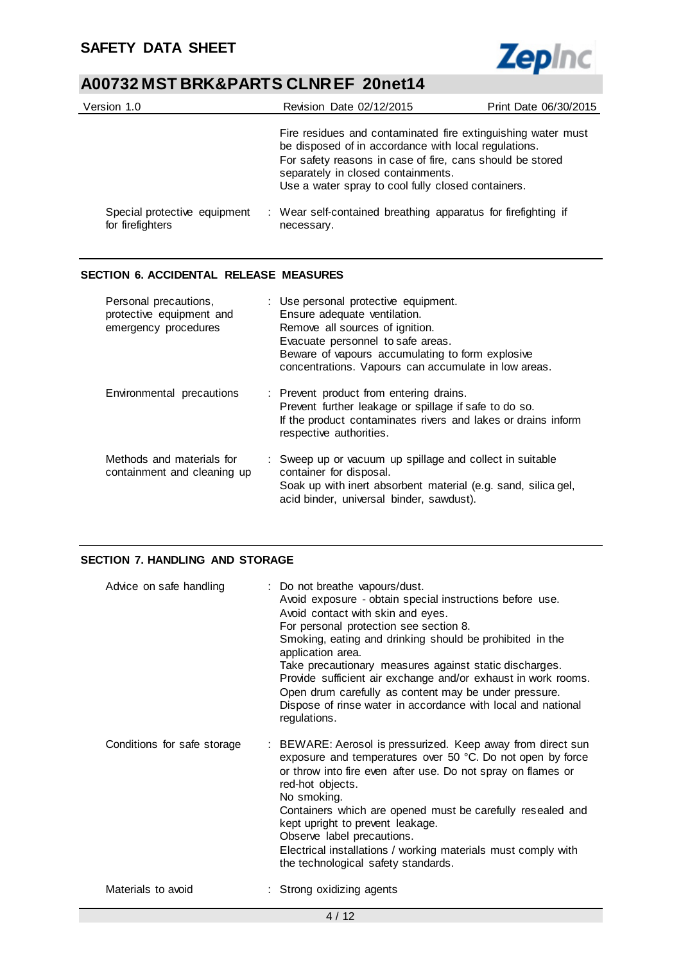

| Version 1.0                                      | Revision Date 02/12/2015                                                                                                                                                                                                                                                      | Print Date 06/30/2015 |
|--------------------------------------------------|-------------------------------------------------------------------------------------------------------------------------------------------------------------------------------------------------------------------------------------------------------------------------------|-----------------------|
|                                                  | Fire residues and contaminated fire extinguishing water must<br>be disposed of in accordance with local regulations.<br>For safety reasons in case of fire, cans should be stored<br>separately in closed containments.<br>Use a water spray to cool fully closed containers. |                       |
| Special protective equipment<br>for firefighters | : Wear self-contained breathing apparatus for firefighting if<br>necessary.                                                                                                                                                                                                   |                       |

### **SECTION 6. ACCIDENTAL RELEASE MEASURES**

| Personal precautions,<br>protective equipment and<br>emergency procedures | : Use personal protective equipment.<br>Ensure adequate ventilation.<br>Remove all sources of ignition.<br>Evacuate personnel to safe areas.<br>Beware of vapours accumulating to form explosive<br>concentrations. Vapours can accumulate in low areas. |
|---------------------------------------------------------------------------|----------------------------------------------------------------------------------------------------------------------------------------------------------------------------------------------------------------------------------------------------------|
| Environmental precautions                                                 | : Prevent product from entering drains.<br>Prevent further leakage or spillage if safe to do so.<br>If the product contaminates rivers and lakes or drains inform<br>respective authorities.                                                             |
| Methods and materials for<br>containment and cleaning up                  | : Sweep up or vacuum up spillage and collect in suitable<br>container for disposal.<br>Soak up with inert absorbent material (e.g. sand, silica gel,<br>acid binder, universal binder, sawdust).                                                         |

### **SECTION 7. HANDLING AND STORAGE**

| Advice on safe handling     | : Do not breathe vapours/dust.<br>Avoid exposure - obtain special instructions before use.<br>Avoid contact with skin and eyes.<br>For personal protection see section 8.<br>Smoking, eating and drinking should be prohibited in the<br>application area.<br>Take precautionary measures against static discharges.<br>Provide sufficient air exchange and/or exhaust in work rooms.<br>Open drum carefully as content may be under pressure.<br>Dispose of rinse water in accordance with local and national<br>regulations. |
|-----------------------------|--------------------------------------------------------------------------------------------------------------------------------------------------------------------------------------------------------------------------------------------------------------------------------------------------------------------------------------------------------------------------------------------------------------------------------------------------------------------------------------------------------------------------------|
| Conditions for safe storage | : BEWARE: Aerosol is pressurized. Keep away from direct sun<br>exposure and temperatures over 50 °C. Do not open by force<br>or throw into fire even after use. Do not spray on flames or<br>red-hot objects.<br>No smoking.<br>Containers which are opened must be carefully resealed and<br>kept upright to prevent leakage.<br>Observe label precautions.<br>Electrical installations / working materials must comply with<br>the technological safety standards.                                                           |
| Materials to avoid          | : Strong oxidizing agents                                                                                                                                                                                                                                                                                                                                                                                                                                                                                                      |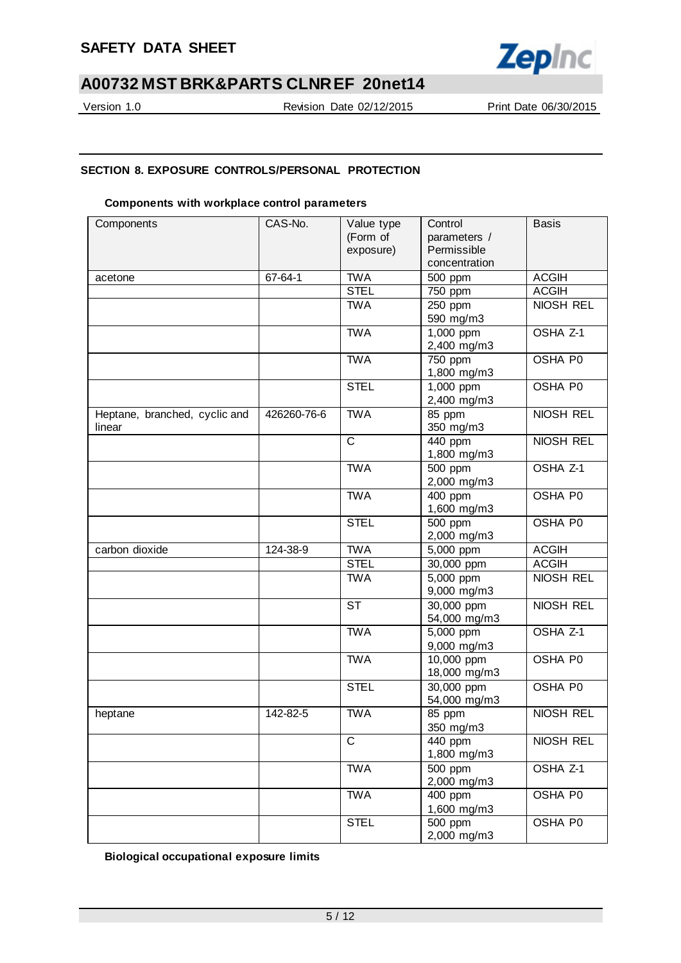

Version 1.0 Revision Date 02/12/2015 Print Date 06/30/2015

### **SECTION 8. EXPOSURE CONTROLS/PERSONAL PROTECTION**

### **Components with workplace control parameters**

| Components                    | CAS-No.     | Value type            | Control                           | <b>Basis</b>        |
|-------------------------------|-------------|-----------------------|-----------------------------------|---------------------|
|                               |             | (Form of              | parameters /                      |                     |
|                               |             | exposure)             | Permissible                       |                     |
|                               |             |                       | concentration                     |                     |
| acetone                       | 67-64-1     | <b>TWA</b>            | 500 ppm                           | <b>ACGIH</b>        |
|                               |             | <b>STEL</b>           | 750 ppm                           | <b>ACGIH</b>        |
|                               |             | <b>TWA</b>            | 250 ppm                           | <b>NIOSH REL</b>    |
|                               |             |                       | 590 mg/m3                         |                     |
|                               |             | <b>TWA</b>            | 1,000 ppm                         | OSHA Z-1            |
|                               |             |                       | 2,400 mg/m3                       |                     |
|                               |             | <b>TWA</b>            | 750 ppm                           | OSHA P0             |
|                               |             |                       | 1,800 mg/m3                       |                     |
|                               |             | <b>STEL</b>           | 1,000 ppm                         | OSHA P0             |
|                               |             |                       | 2,400 mg/m3                       |                     |
| Heptane, branched, cyclic and | 426260-76-6 | <b>TWA</b>            | 85 ppm                            | NIOSH REL           |
| linear                        |             |                       | 350 mg/m3                         |                     |
|                               |             | $\overline{\text{c}}$ | 440 ppm<br>1,800 mg/m3            | NIOSH REL           |
|                               |             | <b>TWA</b>            | 500 ppm                           | OSHA Z-1            |
|                               |             |                       | 2,000 mg/m3                       |                     |
|                               |             | <b>TWA</b>            | 400 ppm                           | OSHA P0             |
|                               |             |                       | 1,600 mg/m3                       |                     |
|                               |             | <b>STEL</b>           | 500 ppm                           | OSHA P0             |
|                               |             |                       | 2,000 mg/m3                       |                     |
| carbon dioxide                | 124-38-9    | <b>TWA</b>            | 5,000 ppm                         | <b>ACGIH</b>        |
|                               |             | <b>STEL</b>           | 30,000 ppm                        | <b>ACGIH</b>        |
|                               |             | <b>TWA</b>            | 5,000 ppm                         | <b>NIOSH REL</b>    |
|                               |             |                       | 9,000 mg/m3                       |                     |
|                               |             | <b>ST</b>             | $\overline{30,000}$ ppm           | NIOSH REL           |
|                               |             |                       | 54,000 mg/m3                      |                     |
|                               |             | <b>TWA</b>            | 5,000 ppm                         | OSHA <sub>Z-1</sub> |
|                               |             |                       | 9,000 mg/m3                       |                     |
|                               |             | <b>TWA</b>            | 10,000 ppm                        | OSHA P0             |
|                               |             |                       | 18,000 mg/m3                      |                     |
|                               |             | <b>STEL</b>           | 30,000 ppm                        | OSHA P0             |
|                               | 142-82-5    | <b>TWA</b>            | 54,000 mg/m3                      | NIOSH REL           |
| heptane                       |             |                       | 85 ppm                            |                     |
|                               |             | $\mathsf{C}$          | 350 mg/m3<br>$\overline{4}40$ ppm | NIOSH REL           |
|                               |             |                       | 1,800 mg/m3                       |                     |
|                               |             | <b>TWA</b>            | 500 ppm                           | OSHA <sub>Z-1</sub> |
|                               |             |                       | 2,000 mg/m3                       |                     |
|                               |             | <b>TWA</b>            | 400 ppm                           | OSHA P0             |
|                               |             |                       | 1,600 mg/m3                       |                     |
|                               |             | <b>STEL</b>           | 500 ppm                           | OSHA P0             |
|                               |             |                       | 2,000 mg/m3                       |                     |

**Biological occupational exposure limits**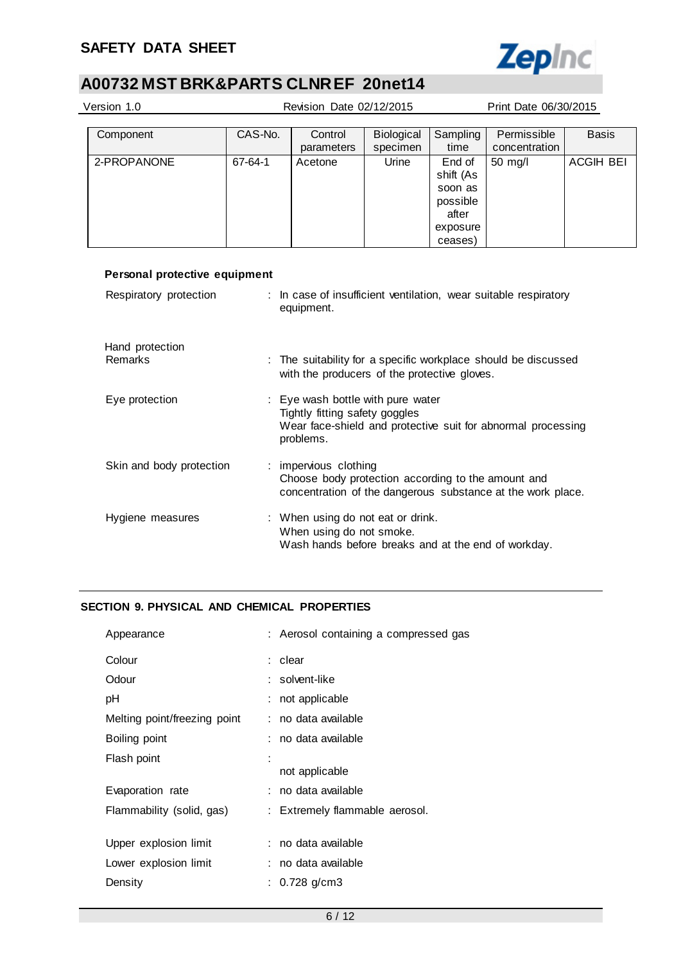### **SAFETY DATA SHEET**



# **A00732 MST BRK&PARTS CLNR EF 20net14**

| Version 1.0 | Revision Date 02/12/2015 |            |            |           | Print Date 06/30/2015 |                  |
|-------------|--------------------------|------------|------------|-----------|-----------------------|------------------|
|             |                          |            |            |           |                       |                  |
| Component   | CAS-No.                  | Control    | Biological | Sampling  | Permissible           | <b>Basis</b>     |
|             |                          | parameters | specimen   | time      | concentration         |                  |
| 2-PROPANONE | 67-64-1                  | Acetone    | Urine      | End of    | $50 \text{ rad}$      | <b>ACGIH BEI</b> |
|             |                          |            |            | shift (As |                       |                  |
|             |                          |            |            | soon as   |                       |                  |
|             |                          |            |            | possible  |                       |                  |
|             |                          |            |            | after     |                       |                  |
|             |                          |            |            | exposure  |                       |                  |
|             |                          |            |            | ceases)   |                       |                  |

| Personal protective equipment |                                                                                                                   |
|-------------------------------|-------------------------------------------------------------------------------------------------------------------|
| Respiratory protection        | : In case of insufficient ventilation, wear suitable respiratory<br>equipment.                                    |
| Hand protection               |                                                                                                                   |
| Remarks                       | : The suitability for a specific workplace should be discussed<br>with the producers of the protective gloves.    |
| Eye protection                | : Eye wash bottle with pure water                                                                                 |
|                               | Tightly fitting safety goggles<br>Wear face-shield and protective suit for abnormal processing<br>problems.       |
| Skin and body protection      | : impervious clothing                                                                                             |
|                               | Choose body protection according to the amount and<br>concentration of the dangerous substance at the work place. |
| Hygiene measures              | : When using do not eat or drink.                                                                                 |
|                               | When using do not smoke.<br>Wash hands before breaks and at the end of workday.                                   |
|                               |                                                                                                                   |

### **SECTION 9. PHYSICAL AND CHEMICAL PROPERTIES**

| Appearance                   | : Aerosol containing a compressed gas |
|------------------------------|---------------------------------------|
| Colour                       | : clear                               |
| Odour                        | : solvent-like                        |
| рH                           | not applicable                        |
| Melting point/freezing point | : no data available                   |
| Boiling point                | : no data available                   |
| Flash point                  | not applicable                        |
| Evaporation rate             | : no data available                   |
| Flammability (solid, gas)    | : Extremely flammable aerosol.        |
| Upper explosion limit        | : no data available                   |
| Lower explosion limit        | : no data available                   |
| Density                      | $0.728$ g/cm3                         |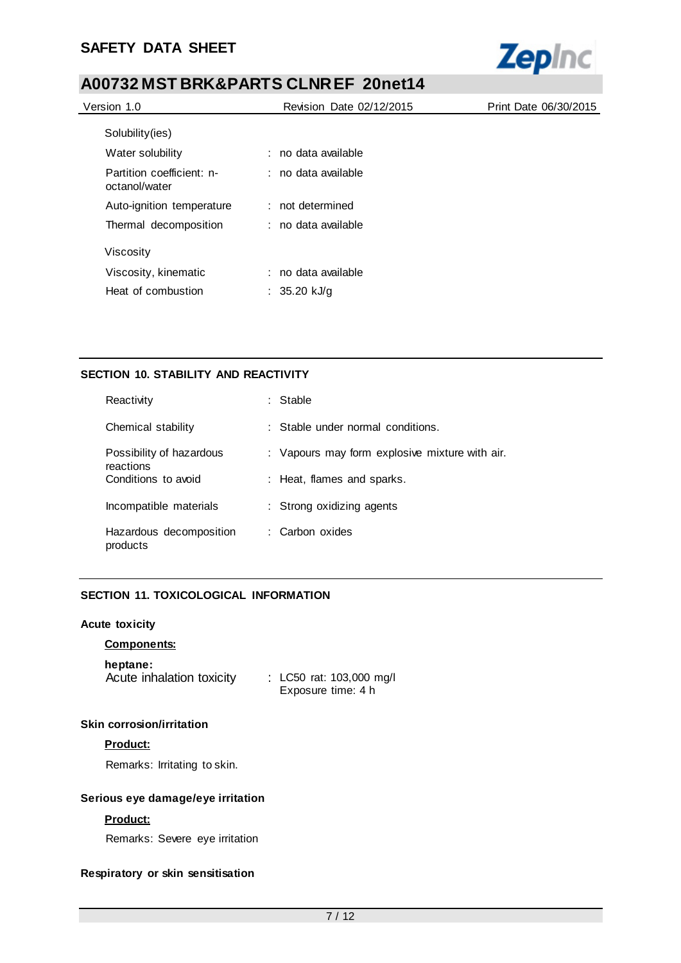

| Version 1.0                                | Revision Date 02/12/2015 | Print Date 06/30/2015 |
|--------------------------------------------|--------------------------|-----------------------|
| Solubility(ies)                            |                          |                       |
| Water solubility                           | : no data available      |                       |
| Partition coefficient: n-<br>octanol/water | $:$ no data available    |                       |
| Auto-ignition temperature                  | : not determined         |                       |
| Thermal decomposition                      | : no data available      |                       |
| Viscosity                                  |                          |                       |
| Viscosity, kinematic                       | : no data available      |                       |
| Heat of combustion                         | : 35.20 kJ/g             |                       |

### **SECTION 10. STABILITY AND REACTIVITY**

| Reactivity                            | : Stable                                       |
|---------------------------------------|------------------------------------------------|
| Chemical stability                    | $\therefore$ Stable under normal conditions.   |
| Possibility of hazardous<br>reactions | : Vapours may form explosive mixture with air. |
| Conditions to avoid                   | : Heat, flames and sparks.                     |
| Incompatible materials                | : Strong oxidizing agents                      |
| Hazardous decomposition<br>products   | : Carbon oxides                                |

### **SECTION 11. TOXICOLOGICAL INFORMATION**

### **Acute toxicity**

### **Components:**

### **heptane:**

Acute inhalation toxicity : LC50 rat: 103,000 mg/l

Exposure time: 4 h

### **Skin corrosion/irritation**

### **Product:**

Remarks: Irritating to skin.

### **Serious eye damage/eye irritation**

### **Product:**

Remarks: Severe eye irritation

### **Respiratory or skin sensitisation**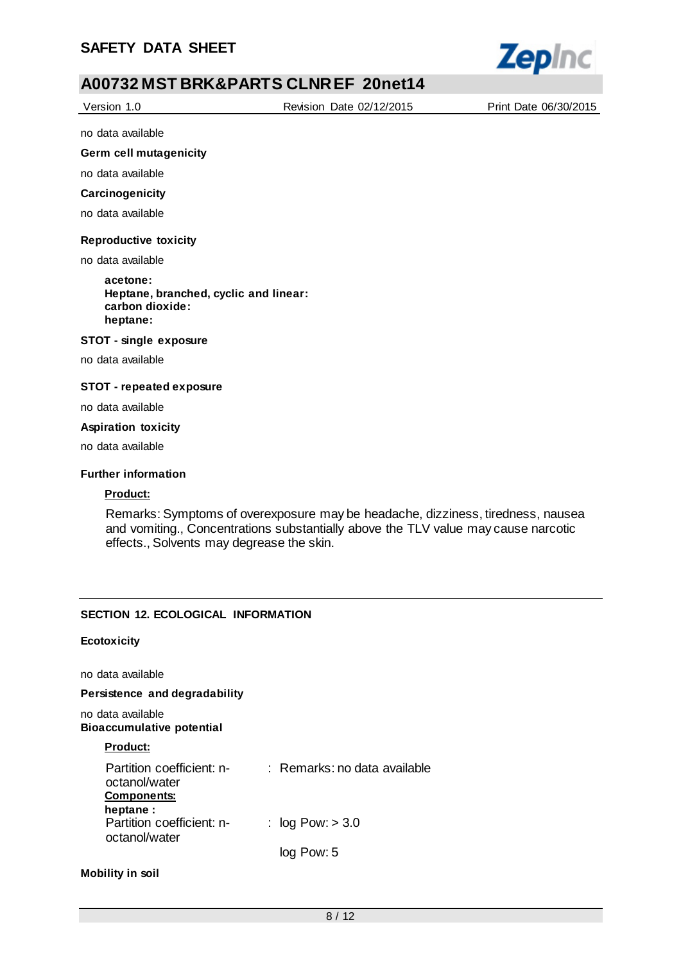

Version 1.0 Revision Date 02/12/2015 Print Date 06/30/2015

no data available

### **Germ cell mutagenicity**

no data available

#### **Carcinogenicity**

no data available

### **Reproductive toxicity**

no data available

**acetone: Heptane, branched, cyclic and linear: carbon dioxide: heptane:**

#### **STOT - single exposure**

no data available

### **STOT - repeated exposure**

no data available

#### **Aspiration toxicity**

no data available

### **Further information**

### **Product:**

Remarks: Symptoms of overexposure may be headache, dizziness, tiredness, nausea and vomiting., Concentrations substantially above the TLV value may cause narcotic effects., Solvents may degrease the skin.

### **SECTION 12. ECOLOGICAL INFORMATION**

### **Ecotoxicity**

no data available

**Persistence and degradability**

no data available **Bioaccumulative potential**

### **Product:**

| Partition coefficient: n-<br>octanol/water<br><b>Components:</b> | : Remarks: no data available |
|------------------------------------------------------------------|------------------------------|
| heptane :<br>Partition coefficient: n-<br>octanol/water          | : $log Pow: > 3.0$           |
|                                                                  | log Pow: 5                   |

### **Mobility in soil**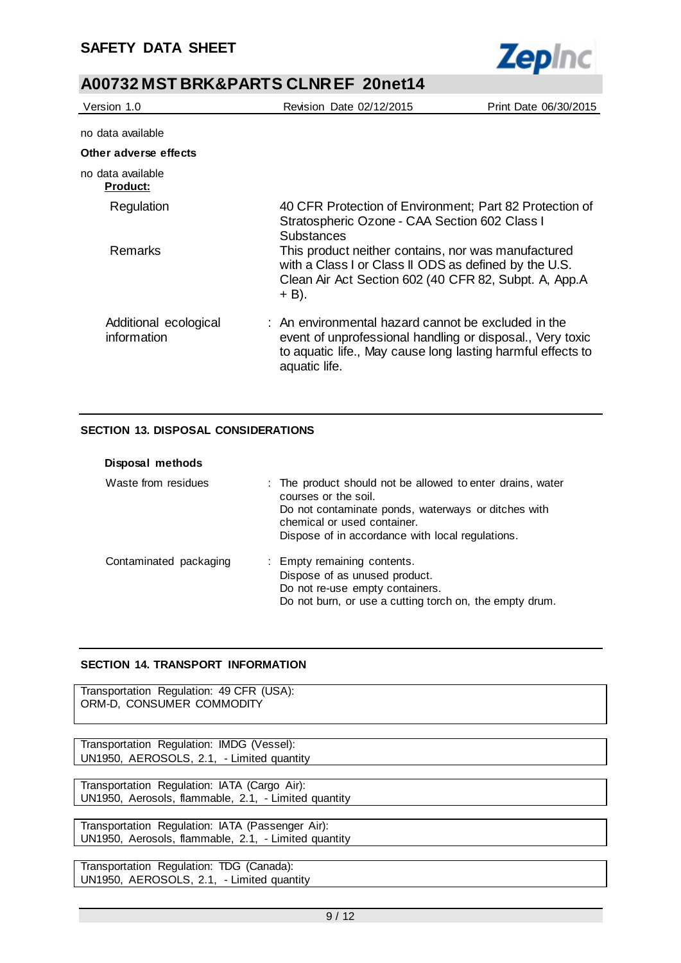

| Version 1.0                          | Revision Date 02/12/2015                                                                                                                                                                         | Print Date 06/30/2015 |
|--------------------------------------|--------------------------------------------------------------------------------------------------------------------------------------------------------------------------------------------------|-----------------------|
| no data available                    |                                                                                                                                                                                                  |                       |
| Other adverse effects                |                                                                                                                                                                                                  |                       |
| no data available<br><u>Product:</u> |                                                                                                                                                                                                  |                       |
| Regulation                           | 40 CFR Protection of Environment; Part 82 Protection of<br>Stratospheric Ozone - CAA Section 602 Class I<br><b>Substances</b>                                                                    |                       |
| Remarks                              | This product neither contains, nor was manufactured<br>with a Class I or Class II ODS as defined by the U.S.<br>Clean Air Act Section 602 (40 CFR 82, Subpt. A, App.A<br>$+$ B).                 |                       |
| Additional ecological<br>information | : An environmental hazard cannot be excluded in the<br>event of unprofessional handling or disposal., Very toxic<br>to aquatic life., May cause long lasting harmful effects to<br>aquatic life. |                       |

### **SECTION 13. DISPOSAL CONSIDERATIONS**

| Disposal methods       |                                                                                                                                                                                                                              |
|------------------------|------------------------------------------------------------------------------------------------------------------------------------------------------------------------------------------------------------------------------|
| Waste from residues    | : The product should not be allowed to enter drains, water<br>courses or the soil.<br>Do not contaminate ponds, waterways or ditches with<br>chemical or used container.<br>Dispose of in accordance with local regulations. |
| Contaminated packaging | : Empty remaining contents.<br>Dispose of as unused product.<br>Do not re-use empty containers.<br>Do not burn, or use a cutting torch on, the empty drum.                                                                   |

### **SECTION 14. TRANSPORT INFORMATION**

Transportation Regulation: 49 CFR (USA): ORM-D, CONSUMER COMMODITY

Transportation Regulation: IMDG (Vessel): UN1950, AEROSOLS, 2.1, - Limited quantity

Transportation Regulation: IATA (Cargo Air): UN1950, Aerosols, flammable, 2.1, - Limited quantity

Transportation Regulation: IATA (Passenger Air): UN1950, Aerosols, flammable, 2.1, - Limited quantity

Transportation Regulation: TDG (Canada): UN1950, AEROSOLS, 2.1, - Limited quantity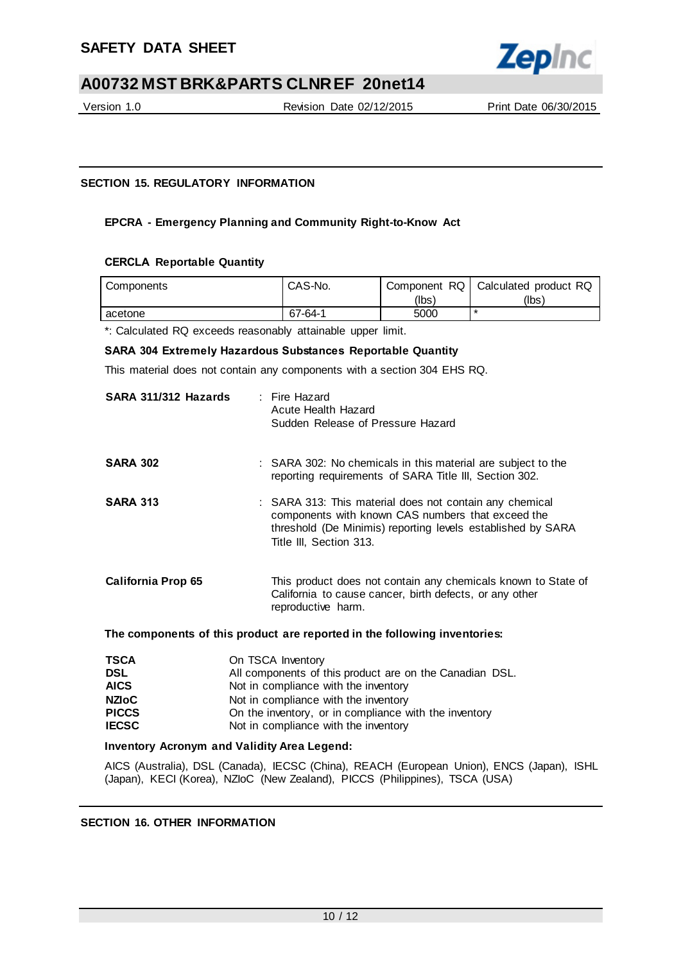

Version 1.0 Revision Date 02/12/2015 Print Date 06/30/2015

### **SECTION 15. REGULATORY INFORMATION**

### **EPCRA - Emergency Planning and Community Right-to-Know Act**

### **CERCLA Reportable Quantity**

| Components | CAS-No.       | Component RQ I | Calculated product RQ |
|------------|---------------|----------------|-----------------------|
|            |               | (lbs)          | (lbs)                 |
| acetone    | $67 - 64 - 1$ | 5000           |                       |

\*: Calculated RQ exceeds reasonably attainable upper limit.

### **SARA 304 Extremely Hazardous Substances Reportable Quantity**

This material does not contain any components with a section 304 EHS RQ.

| SARA 311/312 Hazards      | : Fire Hazard<br>Acute Health Hazard<br>Sudden Release of Pressure Hazard                                                                                                                              |
|---------------------------|--------------------------------------------------------------------------------------------------------------------------------------------------------------------------------------------------------|
| <b>SARA 302</b>           | : SARA 302: No chemicals in this material are subject to the<br>reporting requirements of SARA Title III, Section 302.                                                                                 |
| <b>SARA 313</b>           | : SARA 313: This material does not contain any chemical<br>components with known CAS numbers that exceed the<br>threshold (De Minimis) reporting levels established by SARA<br>Title III, Section 313. |
| <b>California Prop 65</b> | This product does not contain any chemicals known to State of<br>California to cause cancer, birth defects, or any other<br>reproductive harm.                                                         |

**The components of this product are reported in the following inventories:**

| TSCA         | On TSCA Inventory                                       |
|--------------|---------------------------------------------------------|
| DSL          | All components of this product are on the Canadian DSL. |
| <b>AICS</b>  | Not in compliance with the inventory                    |
| <b>NZIoC</b> | Not in compliance with the inventory                    |
| <b>PICCS</b> | On the inventory, or in compliance with the inventory   |
| <b>IECSC</b> | Not in compliance with the inventory                    |
|              |                                                         |

### **Inventory Acronym and Validity Area Legend:**

AICS (Australia), DSL (Canada), IECSC (China), REACH (European Union), ENCS (Japan), ISHL (Japan), KECI (Korea), NZIoC (New Zealand), PICCS (Philippines), TSCA (USA)

### **SECTION 16. OTHER INFORMATION**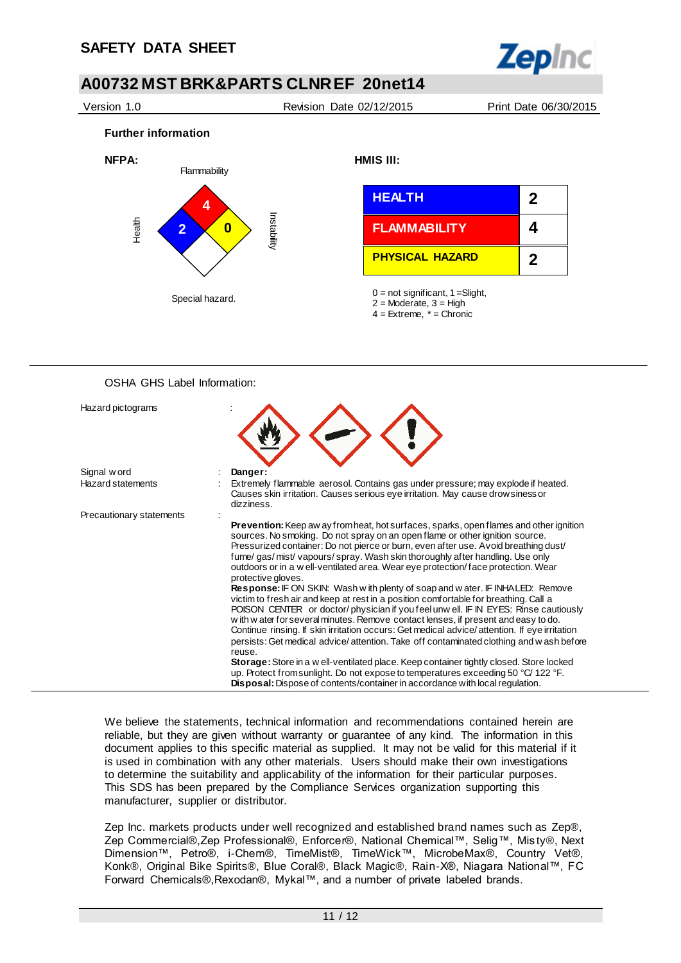

Version 1.0 Revision Date 02/12/2015 Print Date 06/30/2015

**Further information** 



| <b>HEALTH</b>          | $\mathbf 2$ |
|------------------------|-------------|
| <b>FLAMMABILITY</b>    | 4           |
| <b>PHYSICAL HAZARD</b> | 2           |

 $0 =$  not significant, 1 = Slight,

4 = Extreme, \* = Chronic

### OSHA GHS Label Information:

| Hazard pictograms        |                                                                                                                                                                                                                                                                                                                                                                                                                                                                                                                                                               |
|--------------------------|---------------------------------------------------------------------------------------------------------------------------------------------------------------------------------------------------------------------------------------------------------------------------------------------------------------------------------------------------------------------------------------------------------------------------------------------------------------------------------------------------------------------------------------------------------------|
| Signal w ord             | Danger:                                                                                                                                                                                                                                                                                                                                                                                                                                                                                                                                                       |
| <b>Hazard statements</b> | Extremely flammable aerosol. Contains gas under pressure; may explode if heated.<br>Causes skin irritation. Causes serious eye irritation. May cause drowsiness or<br>dizziness.                                                                                                                                                                                                                                                                                                                                                                              |
| Precautionary statements |                                                                                                                                                                                                                                                                                                                                                                                                                                                                                                                                                               |
|                          | <b>Prevention:</b> Keep aw ay from heat, hot surfaces, sparks, open flames and other ignition<br>sources. No smoking. Do not spray on an open flame or other ignition source.<br>Pressurized container: Do not pierce or burn, even after use. Avoid breathing dust/<br>fume/gas/mist/vapours/spray. Wash skin thoroughly after handling. Use only<br>outdoors or in a w ell-ventilated area. Wear eye protection/face protection. Wear<br>protective gloves.                                                                                                 |
|                          | <b>Response:</b> IF ON SKIN: Wash with plenty of soap and water. IF INHALED: Remove<br>victim to fresh air and keep at rest in a position comfortable for breathing. Call a<br>POISON CENTER or doctor/physician if you feel unw ell. IF IN EYES: Rinse cautiously<br>with w ater for several minutes. Remove contact lenses, if present and easy to do.<br>Continue rinsing. If skin irritation occurs: Get medical advice/attention. If eye irritation<br>persists: Get medical advice/attention. Take off contaminated clothing and w ash before<br>reuse. |
|                          | Storage: Store in a w ell-ventilated place. Keep container tightly closed. Store locked<br>up. Protect from sunlight. Do not expose to temperatures exceeding 50 °C/ 122 °F.<br><b>Disposal:</b> Dispose of contents/container in accordance with local regulation.                                                                                                                                                                                                                                                                                           |

We believe the statements, technical information and recommendations contained herein are reliable, but they are given without warranty or guarantee of any kind. The information in this document applies to this specific material as supplied. It may not be valid for this material if it is used in combination with any other materials. Users should make their own investigations to determine the suitability and applicability of the information for their particular purposes. This SDS has been prepared by the Compliance Services organization supporting this manufacturer, supplier or distributor.

Zep Inc. markets products under well recognized and established brand names such as Zep®, Zep Commercial®,Zep Professional®, Enforcer®, National Chemical™, Selig™, Mis ty®, Next Dimension™, Petro®, i-Chem®, TimeMist®, TimeWick™, MicrobeMax®, Country Vet®, Konk®, Original Bike Spirits®, Blue Coral®, Black Magic®, Rain-X®, Niagara National™, FC Forward Chemicals®,Rexodan®, Mykal™, and a number of private labeled brands.

<sup>2 =</sup> Moderate, 3 = High